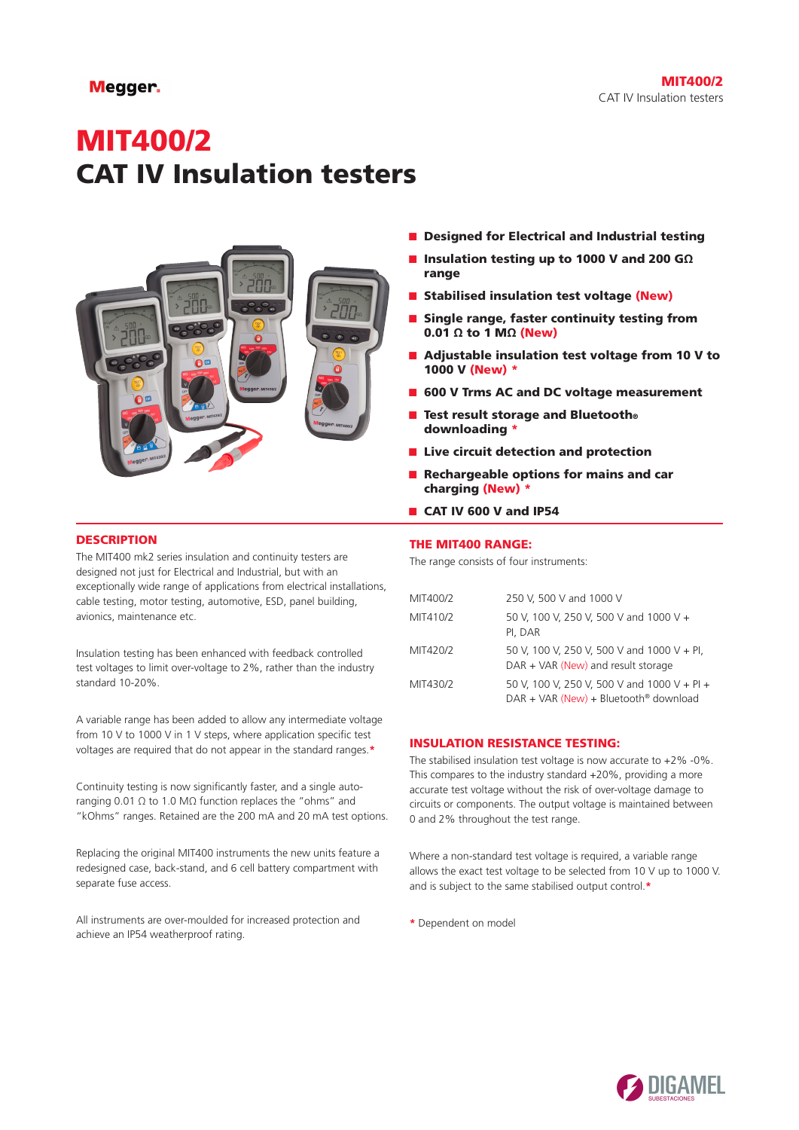# MIT400/2 CAT IV Insulation testers



# **DESCRIPTION**

The MIT400 mk2 series insulation and continuity testers are designed not just for Electrical and Industrial, but with an exceptionally wide range of applications from electrical installations, cable testing, motor testing, automotive, ESD, panel building, avionics, maintenance etc.

Insulation testing has been enhanced with feedback controlled test voltages to limit over-voltage to 2%, rather than the industry standard 10-20%.

A variable range has been added to allow any intermediate voltage from 10 V to 1000 V in 1 V steps, where application specific test voltages are required that do not appear in the standard ranges.**\***

Continuity testing is now significantly faster, and a single autoranging 0.01 Ω to 1.0 MΩ function replaces the "ohms" and "kOhms" ranges. Retained are the 200 mA and 20 mA test options.

Replacing the original MIT400 instruments the new units feature a redesigned case, back-stand, and 6 cell battery compartment with separate fuse access.

All instruments are over-moulded for increased protection and achieve an IP54 weatherproof rating.

- Designed for Electrical and Industrial testing
- Insulation testing up to 1000 V and 200 GΩ range
- Stabilised insulation test voltage (New)
- Single range, faster continuity testing from 0.01  $\Omega$  to 1 M $\Omega$  (New)
- Adjustable insulation test voltage from 10 V to 1000 V (New) \*
- 600 V Trms AC and DC voltage measurement
- Test result storage and Bluetooth® downloading \*
- Live circuit detection and protection
- Rechargeable options for mains and car charging (New) \*
- CAT IV 600 V and IP54

# THE MIT400 RANGE:

The range consists of four instruments:

| MIT400/2 | 250 V, 500 V and 1000 V                                                                            |
|----------|----------------------------------------------------------------------------------------------------|
| MIT410/2 | 50 V, 100 V, 250 V, 500 V and 1000 V +<br>PI, DAR                                                  |
| MIT420/2 | 50 V, 100 V, 250 V, 500 V and 1000 V + Pl,<br>$DAR + VAR$ (New) and result storage                 |
| MIT430/2 | 50 V, 100 V, 250 V, 500 V and 1000 V + Pl +<br>$DAR + VAR$ (New) + Bluetooth <sup>®</sup> download |

# INSULATION RESISTANCE TESTING:

The stabilised insulation test voltage is now accurate to  $+2\%$  -0%. This compares to the industry standard +20%, providing a more accurate test voltage without the risk of over-voltage damage to circuits or components. The output voltage is maintained between 0 and 2% throughout the test range.

Where a non-standard test voltage is required, a variable range allows the exact test voltage to be selected from 10 V up to 1000 V. and is subject to the same stabilised output control.**\***

**\*** Dependent on model

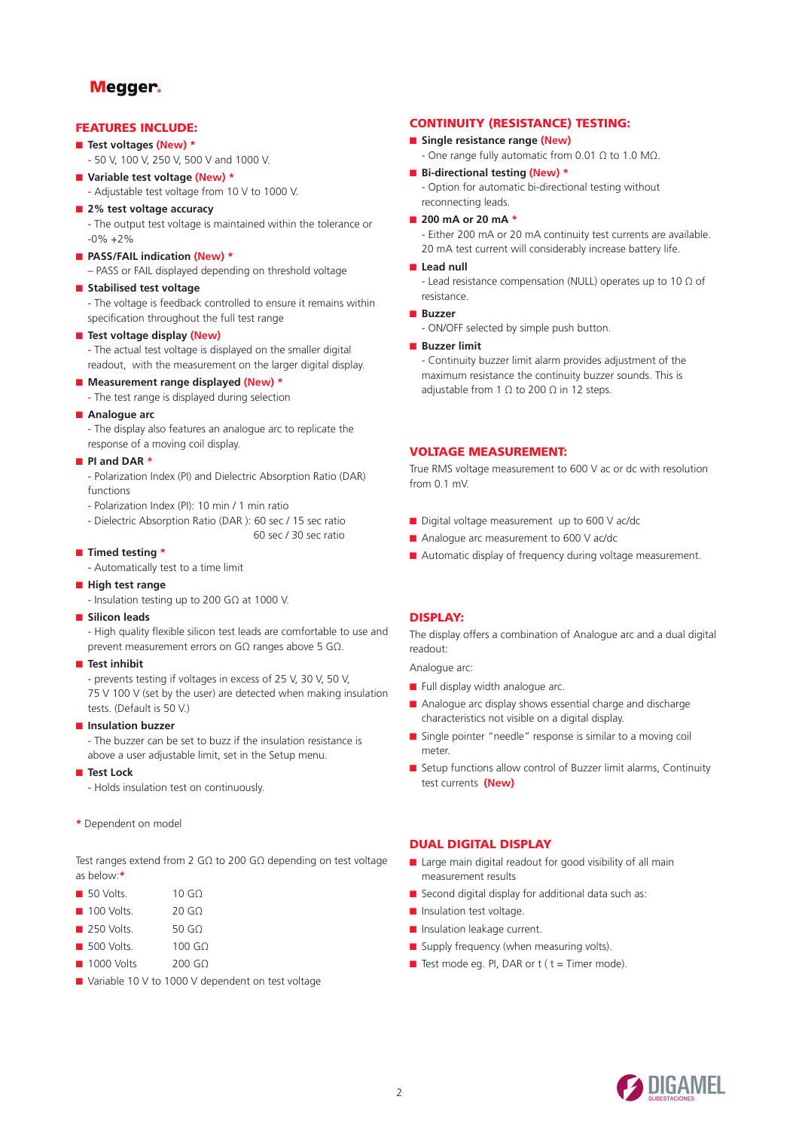# FEATURES INCLUDE:

- **Test voltages (New) \***
	- 50 V, 100 V, 250 V, 500 V and 1000 V.

# ■ **Variable test voltage (New) \***

- Adjustable test voltage from 10 V to 1000 V.

#### ■ 2% test voltage accuracy

- The output test voltage is maintained within the tolerance or  $-0\% +2\%$ 

# ■ **PASS/FAIL indication (New)** \*

- PASS or FAIL displayed depending on threshold voltage
- **Stabilised test voltage**
	- The voltage is feedback controlled to ensure it remains within specification throughout the full test range

### ■ **Test voltage display (New)**

- The actual test voltage is displayed on the smaller digital readout, with the measurement on the larger digital display.

# ■ **Measurement range displayed (New) \***

- The test range is displayed during selection

# ■ **Analogue** arc

- The display also features an analogue arc to replicate the response of a moving coil display.

# ■ **PI and DAR \***

- Polarization Index (PI) and Dielectric Absorption Ratio (DAR) functions
- Polarization Index (PI): 10 min / 1 min ratio
- Dielectric Absorption Ratio (DAR ): 60 sec / 15 sec ratio
- 60 sec / 30 sec ratio

# ■ **Timed testing \***

- Automatically test to a time limit
- **High test range**
	- Insulation testing up to 200 GΩ at 1000 V.

#### ■ **Silicon leads**

- High quality flexible silicon test leads are comfortable to use and prevent measurement errors on GΩ ranges above 5 GΩ.

#### ■ **Test inhibit**

- prevents testing if voltages in excess of 25 V, 30 V, 50 V, 75 V 100 V (set by the user) are detected when making insulation tests. (Default is 50 V.)

#### ■ **Insulation buzzer**

- The buzzer can be set to buzz if the insulation resistance is above a user adjustable limit, set in the Setup menu.

#### ■ **Test Lock**

- Holds insulation test on continuously.
- **\*** Dependent on model

Test ranges extend from 2 GΩ to 200 GΩ depending on test voltage as below:**\***

- 50 Volts. 10 GO
- 100 Volts. 20 GΩ
- 250 Volts. 50 GO
- 500 Volts. 100 GΩ
- 1000 Volts 200 GΩ
- Variable 10 V to 1000 V dependent on test voltage

# CONTINUITY (RESISTANCE) TESTING:

- **Single resistance range (New)** 
	- One range fully automatic from 0.01 Ω to 1.0 MΩ.
- **Bi-directional testing (New) \***
	- Option for automatic bi-directional testing without reconnecting leads.
- 200 mA or 20 mA **\***

- Either 200 mA or 20 mA continuity test currents are available. 20 mA test current will considerably increase battery life.

### ■ Lead null

- Lead resistance compensation (NULL) operates up to 10 Ω of resistance.

- **Buzzer**
	- ON/OFF selected by simple push button.

### ■ **Buzzer limit**

- Continuity buzzer limit alarm provides adjustment of the maximum resistance the continuity buzzer sounds. This is adjustable from 1  $\Omega$  to 200  $\Omega$  in 12 steps.

# VOLTAGE MEASUREMENT:

True RMS voltage measurement to 600 V ac or dc with resolution from 0.1 mV.

- Digital voltage measurement up to 600 V ac/dc
- Analogue arc measurement to 600 V ac/dc
- Automatic display of frequency during voltage measurement.

# DISPLAY:

The display offers a combination of Analogue arc and a dual digital readout:

Analogue arc:

- Full display width analogue arc.
- Analogue arc display shows essential charge and discharge characteristics not visible on a digital display.
- Single pointer "needle" response is similar to a moving coil meter.
- Setup functions allow control of Buzzer limit alarms, Continuity test currents **(New)**

# DUAL DIGITAL DISPLAY

- Large main digital readout for good visibility of all main measurement results
- Second digital display for additional data such as:
- Insulation test voltage.
- Insulation leakage current.
- Supply frequency (when measuring volts).
- Test mode eq.  $PI$ , DAR or  $t$  (  $t$  = Timer mode).

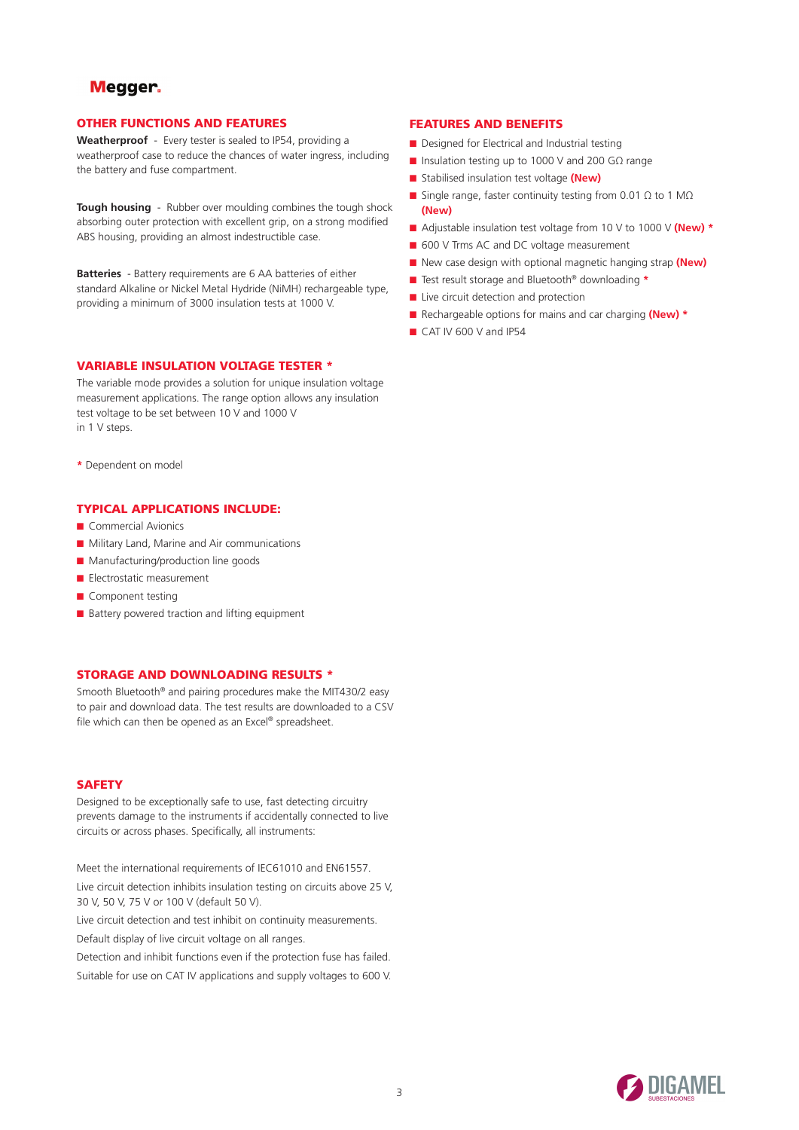# OTHER FUNCTIONS AND FEATURES

**Weatherproof** - Every tester is sealed to IP54, providing a weatherproof case to reduce the chances of water ingress, including the battery and fuse compartment.

**Tough housing** - Rubber over moulding combines the tough shock absorbing outer protection with excellent grip, on a strong modified ABS housing, providing an almost indestructible case.

**Batteries** - Battery requirements are 6 AA batteries of either standard Alkaline or Nickel Metal Hydride (NiMH) rechargeable type, providing a minimum of 3000 insulation tests at 1000 V.

# VARIABLE INSULATION VOLTAGE TESTER \*

The variable mode provides a solution for unique insulation voltage measurement applications. The range option allows any insulation test voltage to be set between 10 V and 1000 V in 1 V steps.

**\*** Dependent on model

# TYPICAL APPLICATIONS INCLUDE:

- Commercial Avionics
- Military Land, Marine and Air communications
- Manufacturing/production line goods
- Electrostatic measurement
- Component testing
- Battery powered traction and lifting equipment

# STORAGE AND DOWNLOADING RESULTS \*

Smooth Bluetooth® and pairing procedures make the MIT430/2 easy to pair and download data. The test results are downloaded to a CSV file which can then be opened as an Excel® spreadsheet.

# **SAFETY**

Designed to be exceptionally safe to use, fast detecting circuitry prevents damage to the instruments if accidentally connected to live circuits or across phases. Specifically, all instruments:

Meet the international requirements of IEC61010 and EN61557. Live circuit detection inhibits insulation testing on circuits above 25 V, 30 V, 50 V, 75 V or 100 V (default 50 V).

Live circuit detection and test inhibit on continuity measurements.

Default display of live circuit voltage on all ranges.

Detection and inhibit functions even if the protection fuse has failed.

Suitable for use on CAT IV applications and supply voltages to 600 V.

# FEATURES AND BENEFITS

- Designed for Electrical and Industrial testing
- Insulation testing up to 1000 V and 200 GΩ range
- Stabilised insulation test voltage (New)
- Single range, faster continuity testing from 0.01 Ω to 1 MΩ **(New)**
- Adjustable insulation test voltage from 10 V to 1000 V **(New)** \*
- 600 V Trms AC and DC voltage measurement
- New case design with optional magnetic hanging strap (New)
- Test result storage and Bluetooth® downloading **\***
- Live circuit detection and protection
- Rechargeable options for mains and car charging **(New) \***
- CAT IV 600 V and IP54

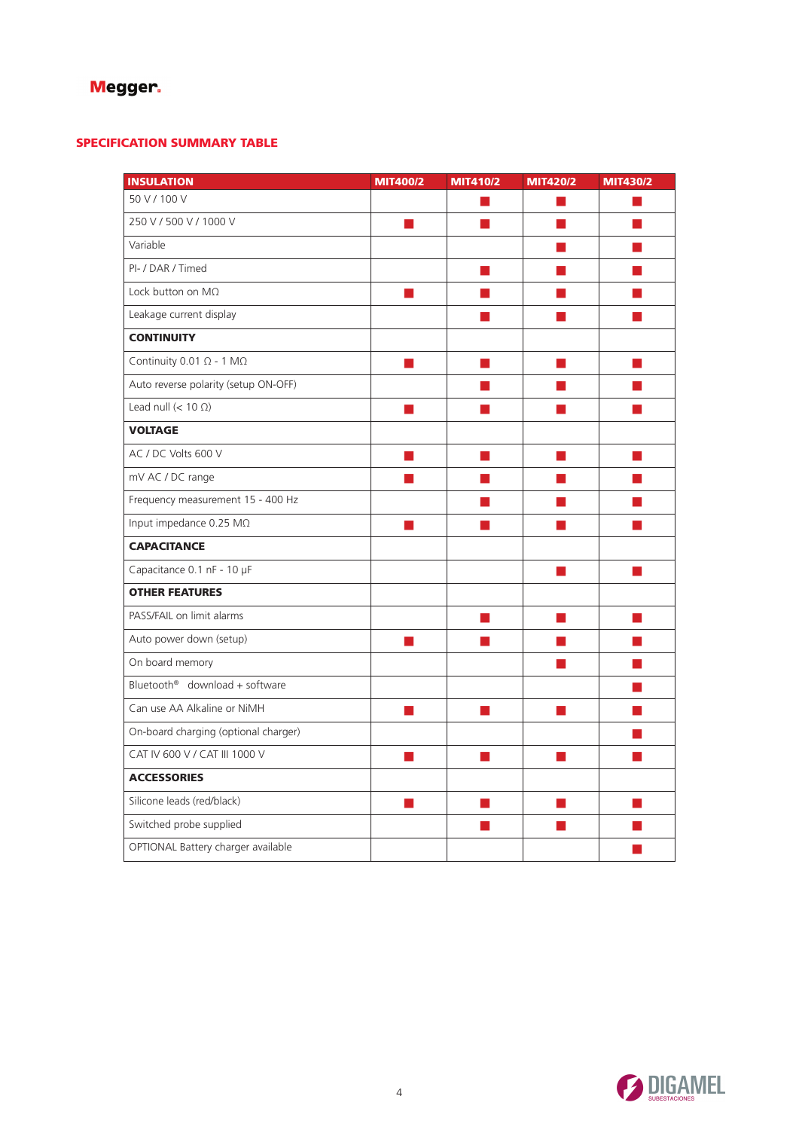# SPECIFICATION SUMMARY TABLE

| <b>INSULATION</b>                       | MIT400/2 | MIT410/2       | MIT420/2                 | MIT430/2               |
|-----------------------------------------|----------|----------------|--------------------------|------------------------|
| 50 V / 100 V                            |          |                |                          |                        |
| 250 V / 500 V / 1000 V                  |          |                |                          |                        |
| Variable                                |          |                | H                        |                        |
| PI- / DAR / Timed                       |          |                |                          |                        |
| Lock button on $M\Omega$                | ×.       |                |                          |                        |
| Leakage current display                 |          |                |                          |                        |
| <b>CONTINUITY</b>                       |          |                |                          |                        |
| Continuity 0.01 $\Omega$ - 1 M $\Omega$ |          |                |                          |                        |
| Auto reverse polarity (setup ON-OFF)    |          |                |                          |                        |
| Lead null $(< 10 \Omega)$               |          |                |                          |                        |
| <b>VOLTAGE</b>                          |          |                |                          |                        |
| AC / DC Volts 600 V                     |          |                |                          |                        |
| mV AC / DC range                        |          |                | m.                       |                        |
| Frequency measurement 15 - 400 Hz       |          |                |                          |                        |
| Input impedance 0.25 MΩ                 | П        | <b>College</b> | L.                       | <b>Service Service</b> |
| <b>CAPACITANCE</b>                      |          |                |                          |                        |
| Capacitance 0.1 nF - 10 µF              |          |                | ш                        | m.                     |
| <b>OTHER FEATURES</b>                   |          |                |                          |                        |
| PASS/FAIL on limit alarms               |          | T.             | П                        | m.                     |
| Auto power down (setup)                 |          |                |                          |                        |
| On board memory                         |          |                | H.                       |                        |
| Bluetooth® download + software          |          |                |                          |                        |
| Can use AA Alkaline or NiMH             | m.       | m.             | $\overline{\phantom{a}}$ |                        |
| On-board charging (optional charger)    |          |                |                          |                        |
| CAT IV 600 V / CAT III 1000 V           | H        | n l            | L.                       |                        |
| <b>ACCESSORIES</b>                      |          |                |                          |                        |
| Silicone leads (red/black)              | H        | m.             | L.                       |                        |
| Switched probe supplied                 |          |                |                          |                        |
| OPTIONAL Battery charger available      |          |                |                          |                        |

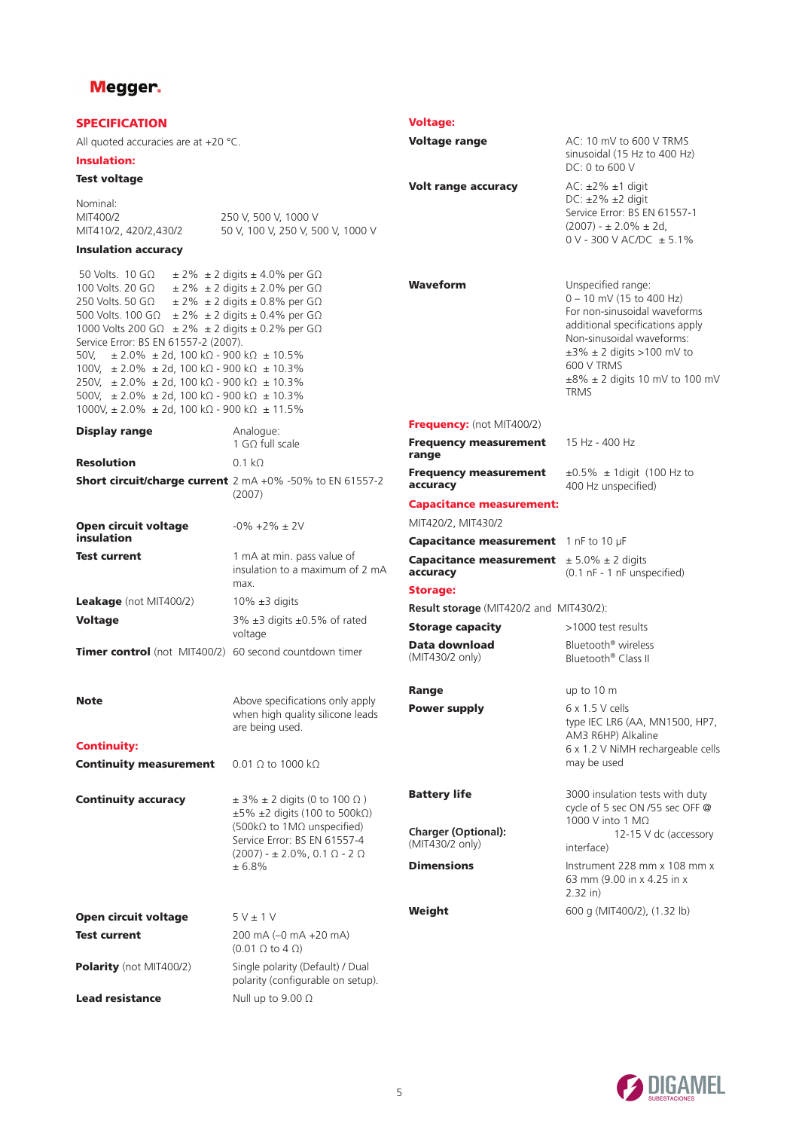| <b>SPECIFICATION</b>                                                                                                                                                                                                                                                                                                                                                                                                                                                                                                                                                                                        |                                                                                                                                                                                                           | <b>Voltage:</b>                                                      |                                                                                                                                                                                                                                                              |
|-------------------------------------------------------------------------------------------------------------------------------------------------------------------------------------------------------------------------------------------------------------------------------------------------------------------------------------------------------------------------------------------------------------------------------------------------------------------------------------------------------------------------------------------------------------------------------------------------------------|-----------------------------------------------------------------------------------------------------------------------------------------------------------------------------------------------------------|----------------------------------------------------------------------|--------------------------------------------------------------------------------------------------------------------------------------------------------------------------------------------------------------------------------------------------------------|
| All quoted accuracies are at $+20$ °C.                                                                                                                                                                                                                                                                                                                                                                                                                                                                                                                                                                      |                                                                                                                                                                                                           | <b>Voltage range</b>                                                 | AC: 10 mV to 600 V TRMS                                                                                                                                                                                                                                      |
| <b>Insulation:</b>                                                                                                                                                                                                                                                                                                                                                                                                                                                                                                                                                                                          |                                                                                                                                                                                                           |                                                                      | sinusoidal (15 Hz to 400 Hz)<br>DC: 0 to 600 V                                                                                                                                                                                                               |
| <b>Test voltage</b>                                                                                                                                                                                                                                                                                                                                                                                                                                                                                                                                                                                         |                                                                                                                                                                                                           | Volt range accuracy                                                  | $AC: \pm 2\% \pm 1$ digit                                                                                                                                                                                                                                    |
| Nominal:<br>MIT400/2<br>MIT410/2, 420/2,430/2                                                                                                                                                                                                                                                                                                                                                                                                                                                                                                                                                               | 250 V, 500 V, 1000 V<br>50 V, 100 V, 250 V, 500 V, 1000 V                                                                                                                                                 |                                                                      | $DC: \pm 2\% \pm 2$ digit<br>Service Error: BS EN 61557-1<br>$(2007) - \pm 2.0\% \pm 2d$ ,<br>$0$ V - 300 V AC/DC $\pm$ 5.1%                                                                                                                                 |
| <b>Insulation accuracy</b>                                                                                                                                                                                                                                                                                                                                                                                                                                                                                                                                                                                  |                                                                                                                                                                                                           |                                                                      |                                                                                                                                                                                                                                                              |
| 50 Volts. $10$ G $\Omega$<br>100 Volts. 20 G $\Omega$<br>250 Volts. 50 G $\Omega$<br>500 Volts. 100 G $\Omega$ ± 2% ± 2 digits ± 0.4% per G $\Omega$<br>1000 Volts 200 G $\Omega$ ± 2% ± 2 digits ± 0.2% per G $\Omega$<br>Service Error: BS EN 61557-2 (2007).<br>50V,<br>$\pm$ 2.0% $\pm$ 2d, 100 kΩ - 900 kΩ $\pm$ 10.5%<br>100V, $\pm 2.0\% \pm 2d$ , 100 k $\Omega$ - 900 k $\Omega \pm 10.3\%$<br>250V, $\pm 2.0\% \pm 2d$ , 100 k $\Omega$ - 900 k $\Omega \pm 10.3\%$<br>500V, $\pm 2.0\% \pm 2d$ , 100 kΩ - 900 kΩ $\pm 10.3\%$<br>$1000V, \pm 2.0\% \pm 2d, 100 k\Omega - 900 k\Omega \pm 11.5\%$ | $\pm$ 2% $\pm$ 2 digits $\pm$ 4.0% per G $\Omega$<br>$\pm$ 2% $\pm$ 2 digits $\pm$ 2.0% per G $\Omega$<br>$\pm$ 2% $\pm$ 2 digits $\pm$ 0.8% per G $\Omega$                                               | <b>Waveform</b>                                                      | Unspecified range:<br>$0 - 10$ mV (15 to 400 Hz)<br>For non-sinusoidal waveforms<br>additional specifications apply<br>Non-sinusoidal waveforms:<br>$\pm 3\% \pm 2$ digits >100 mV to<br>600 V TRMS<br>$\pm 8\% \pm 2$ digits 10 mV to 100 mV<br><b>TRMS</b> |
| <b>Display range</b>                                                                                                                                                                                                                                                                                                                                                                                                                                                                                                                                                                                        | Analogue:                                                                                                                                                                                                 | <b>Frequency:</b> (not MIT400/2)                                     |                                                                                                                                                                                                                                                              |
|                                                                                                                                                                                                                                                                                                                                                                                                                                                                                                                                                                                                             | 1 GO full scale                                                                                                                                                                                           | <b>Frequency measurement</b><br>range                                | 15 Hz - 400 Hz                                                                                                                                                                                                                                               |
| <b>Resolution</b>                                                                                                                                                                                                                                                                                                                                                                                                                                                                                                                                                                                           | $0.1 k\Omega$<br><b>Short circuit/charge current</b> 2 mA +0% -50% to EN 61557-2<br>(2007)                                                                                                                | <b>Frequency measurement</b><br>accuracy                             | $\pm 0.5\%$ $\pm$ 1 digit (100 Hz to<br>400 Hz unspecified)                                                                                                                                                                                                  |
|                                                                                                                                                                                                                                                                                                                                                                                                                                                                                                                                                                                                             |                                                                                                                                                                                                           | <b>Capacitance measurement:</b>                                      |                                                                                                                                                                                                                                                              |
| <b>Open circuit voltage</b>                                                                                                                                                                                                                                                                                                                                                                                                                                                                                                                                                                                 | $-0\% +2\% \pm 2V$                                                                                                                                                                                        | MIT420/2, MIT430/2                                                   |                                                                                                                                                                                                                                                              |
| insulation                                                                                                                                                                                                                                                                                                                                                                                                                                                                                                                                                                                                  |                                                                                                                                                                                                           | Capacitance measurement 1 nF to 10 µF                                |                                                                                                                                                                                                                                                              |
| <b>Test current</b>                                                                                                                                                                                                                                                                                                                                                                                                                                                                                                                                                                                         | 1 mA at min. pass value of<br>insulation to a maximum of 2 mA<br>max.                                                                                                                                     | <b>Capacitance measurement</b> $\pm 5.0\% \pm 2$ digits<br>accuracy  | (0.1 nF - 1 nF unspecified)                                                                                                                                                                                                                                  |
| Leakage (not MIT400/2)                                                                                                                                                                                                                                                                                                                                                                                                                                                                                                                                                                                      | $10\% \pm 3$ digits                                                                                                                                                                                       | <b>Storage:</b>                                                      |                                                                                                                                                                                                                                                              |
| <b>Voltage</b>                                                                                                                                                                                                                                                                                                                                                                                                                                                                                                                                                                                              | 3% ±3 digits ±0.5% of rated                                                                                                                                                                               | <b>Result storage</b> (MIT420/2 and MIT430/2):                       |                                                                                                                                                                                                                                                              |
|                                                                                                                                                                                                                                                                                                                                                                                                                                                                                                                                                                                                             | voltage                                                                                                                                                                                                   | <b>Storage capacity</b>                                              | >1000 test results                                                                                                                                                                                                                                           |
| Timer control (not MIT400/2) 60 second countdown timer                                                                                                                                                                                                                                                                                                                                                                                                                                                                                                                                                      |                                                                                                                                                                                                           | Data download<br>(MIT430/2 only)                                     | Bluetooth <sup>®</sup> wireless<br>Bluetooth <sup>®</sup> Class II                                                                                                                                                                                           |
|                                                                                                                                                                                                                                                                                                                                                                                                                                                                                                                                                                                                             |                                                                                                                                                                                                           | <b>Range</b>                                                         | up to $10 \text{ m}$                                                                                                                                                                                                                                         |
| <b>Note</b><br><b>Continuity:</b>                                                                                                                                                                                                                                                                                                                                                                                                                                                                                                                                                                           | Above specifications only apply<br>when high quality silicone leads<br>are being used.                                                                                                                    | <b>Power supply</b>                                                  | $6 \times 1.5$ V cells<br>type IEC LR6 (AA, MN1500, HP7,<br>AM3 R6HP) Alkaline                                                                                                                                                                               |
| <b>Continuity measurement</b>                                                                                                                                                                                                                                                                                                                                                                                                                                                                                                                                                                               | $0.01 \Omega$ to 1000 k $\Omega$                                                                                                                                                                          |                                                                      | 6 x 1.2 V NiMH rechargeable cells<br>may be used                                                                                                                                                                                                             |
|                                                                                                                                                                                                                                                                                                                                                                                                                                                                                                                                                                                                             |                                                                                                                                                                                                           |                                                                      |                                                                                                                                                                                                                                                              |
| <b>Continuity accuracy</b>                                                                                                                                                                                                                                                                                                                                                                                                                                                                                                                                                                                  | $\pm$ 3% $\pm$ 2 digits (0 to 100 $\Omega$ )<br>$\pm 5\%$ $\pm 2$ digits (100 to 500kΩ)<br>(500kΩ to 1MΩ unspecified)<br>Service Error: BS EN 61557-4<br>$(2007)$ - $\pm$ 2.0%, 0.1 $\Omega$ - 2 $\Omega$ | <b>Battery life</b><br><b>Charger (Optional):</b><br>(MIT430/2 only) | 3000 insulation tests with duty<br>cycle of 5 sec ON /55 sec OFF @<br>1000 V into 1 MΩ<br>12-15 V dc (accessory<br>interface)                                                                                                                                |
|                                                                                                                                                                                                                                                                                                                                                                                                                                                                                                                                                                                                             | ± 6.8%                                                                                                                                                                                                    | <b>Dimensions</b>                                                    | Instrument 228 mm x 108 mm x<br>63 mm (9.00 in x 4.25 in x<br>$2.32$ in)                                                                                                                                                                                     |
| <b>Open circuit voltage</b>                                                                                                                                                                                                                                                                                                                                                                                                                                                                                                                                                                                 | $5V \pm 1V$                                                                                                                                                                                               | Weight                                                               | 600 g (MIT400/2), (1.32 lb)                                                                                                                                                                                                                                  |
| <b>Test current</b>                                                                                                                                                                                                                                                                                                                                                                                                                                                                                                                                                                                         | 200 mA (-0 mA +20 mA)<br>$(0.01 \Omega$ to $4 \Omega)$                                                                                                                                                    |                                                                      |                                                                                                                                                                                                                                                              |
| Polarity (not MIT400/2)                                                                                                                                                                                                                                                                                                                                                                                                                                                                                                                                                                                     | Single polarity (Default) / Dual<br>polarity (configurable on setup).                                                                                                                                     |                                                                      |                                                                                                                                                                                                                                                              |
| <b>Lead resistance</b>                                                                                                                                                                                                                                                                                                                                                                                                                                                                                                                                                                                      | Null up to 9.00 $\Omega$                                                                                                                                                                                  |                                                                      |                                                                                                                                                                                                                                                              |

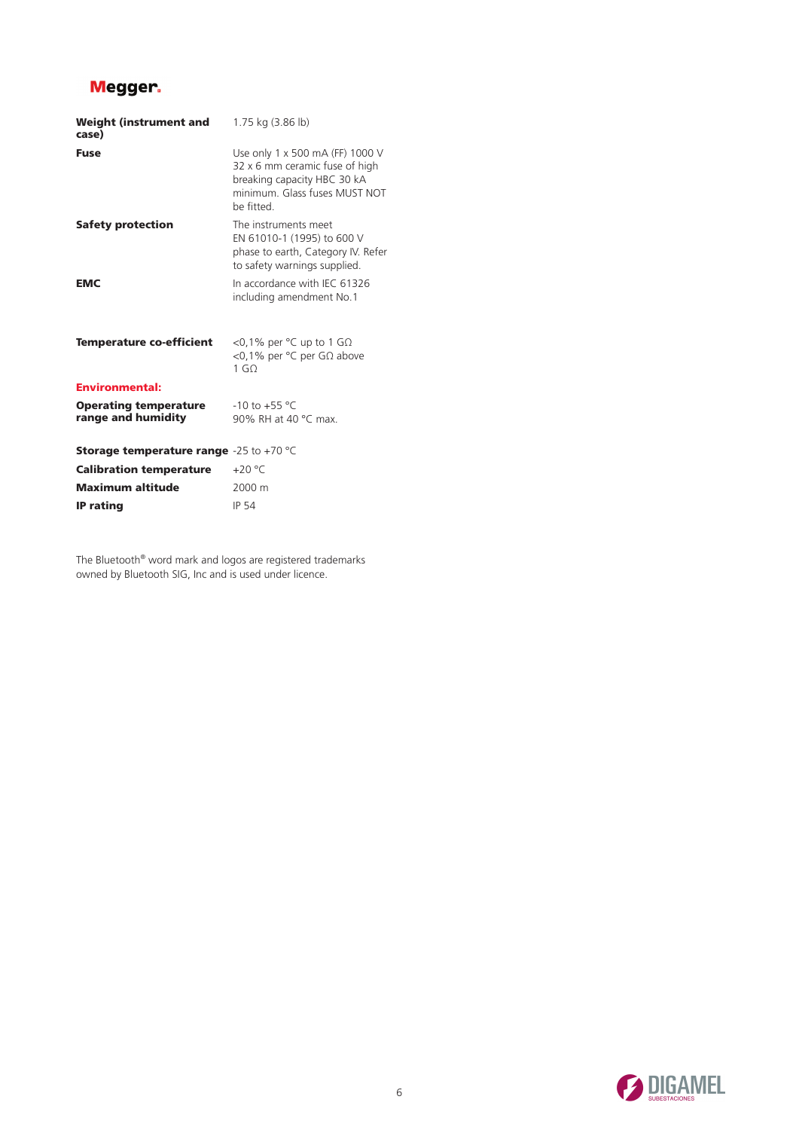| <b>Weight (instrument and</b><br>case)                   | 1.75 kg (3.86 lb)                                                                                                                              |
|----------------------------------------------------------|------------------------------------------------------------------------------------------------------------------------------------------------|
| <b>Fuse</b>                                              | Use only 1 x 500 mA (FF) 1000 V<br>32 x 6 mm ceramic fuse of high<br>breaking capacity HBC 30 kA<br>minimum. Glass fuses MUST NOT<br>he fitted |
| Safety protection                                        | The instruments meet<br>EN 61010-1 (1995) to 600 V<br>phase to earth, Category IV. Refer<br>to safety warnings supplied.                       |
| <b>EMC</b>                                               | In accordance with IEC 61326<br>including amendment No.1                                                                                       |
| <b>Temperature co-efficient</b>                          | <0,1% per $\degree$ C up to 1 G $\Omega$<br><0,1% per °C per GΩ above<br>1 <sub>0</sub>                                                        |
| <b>Environmental:</b>                                    |                                                                                                                                                |
| <b>Operating temperature</b><br>range and humidity       | $-10$ to $+55$ °C<br>90% RH at 40 °C max.                                                                                                      |
| <b>Storage temperature range</b> -25 to +70 $^{\circ}$ C |                                                                                                                                                |
| <b>Calibration temperature</b>                           | $+20 °C$                                                                                                                                       |
| <b>Maximum altitude</b>                                  | 2000 m                                                                                                                                         |
| <b>IP</b> rating                                         | <b>IP 54</b>                                                                                                                                   |

The Bluetooth® word mark and logos are registered trademarks owned by Bluetooth SIG, Inc and is used under licence.